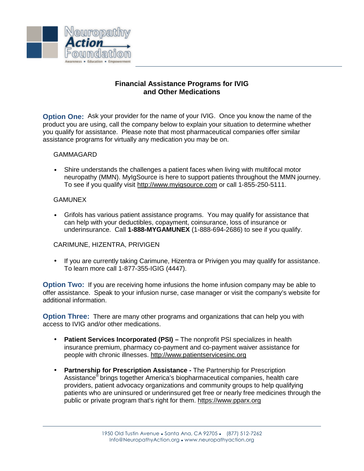

## **Financial Assistance Programs for IVIG and Other Medications**

**Option One:** Ask your provider for the name of your IVIG. Once you know the name of the product you are using, call the company below to explain your situation to determine whether you qualify for assistance. Please note that most pharmaceutical companies offer similar assistance programs for virtually any medication you may be on.

## GAMMAGARD

• Shire understands the challenges a patient faces when living with multifocal motor neuropathy (MMN). MyIgSource is here to support patients throughout the MMN journey. To see if you qualify visit http://www.myigsource.com or call 1-855-250-5111.

## GAMUNEX

• Grifols has various patient assistance programs. You may qualify for assistance that can help with your deductibles, copayment, coinsurance, loss of insurance or underinsurance. Call **1-888-MYGAMUNEX** (1-888-694-2686) to see if you qualify.

## CARIMUNE, HIZENTRA, PRIVIGEN

• If you are currently taking Carimune, Hizentra or Privigen you may qualify for assistance. To learn more call 1-877-355-IGIG (4447).

**Option Two:** If you are receiving home infusions the home infusion company may be able to offer assistance. Speak to your infusion nurse, case manager or visit the company's website for additional information.

**Option Three:** There are many other programs and organizations that can help you with access to IVIG and/or other medications.

- **Patient Services Incorporated (PSI)** The nonprofit PSI specializes in health insurance premium, pharmacy co-payment and co-payment waiver assistance for people with chronic illnesses. http://www.patientservicesinc.org
- **Partnership for Prescription Assistance** The Partnership for Prescription Assistance® brings together America's biopharmaceutical companies, health care providers, patient advocacy organizations and community groups to help qualifying patients who are uninsured or underinsured get free or nearly free medicines through the public or private program that's right for them. https://www.pparx.org